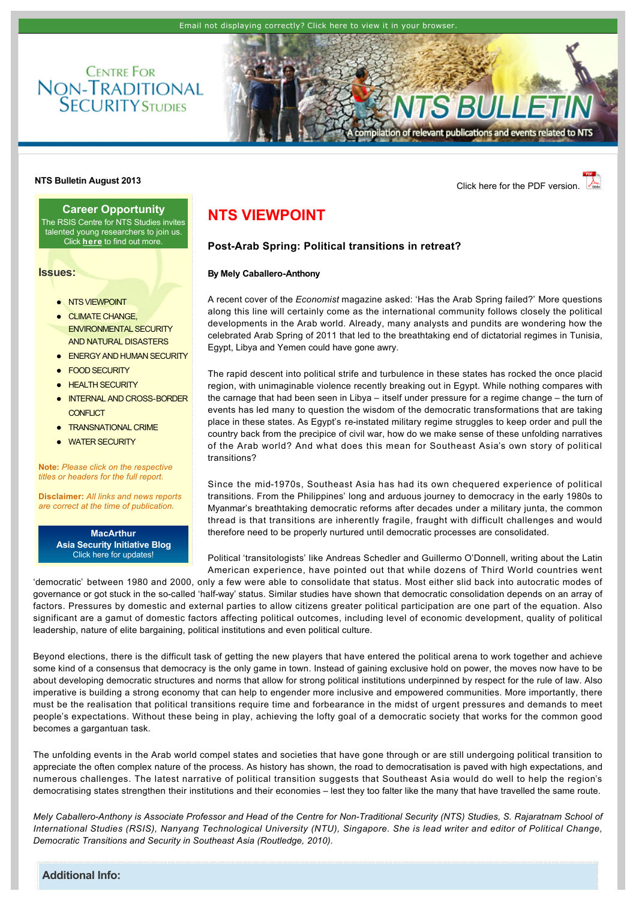



**NTS Bulletin August 2013 NTS Bulletin August 2013** 

**Career Opportunity** The RSIS Centre for NTS Studies invites talented young researchers to join us. Click **[here](http://www.rsis.edu.sg/nts/article.asp?id=54)** to find out more.

**Issues:**

- **.** [NTS VIEWPOINT](http://www.rsis.edu.sg/nts/html-newsletter/bulletin/nts-bulletin-aug-1301.html#TOP)
- $\bullet$  CLIMATE CHANGE [ENVIRONMENTAL SECURITY](http://www.rsis.edu.sg/nts/html-newsletter/bulletin/nts-bulletin-aug-1301.html#CLIMATE)  AND NATURAL DISASTERS
- **[ENERGY AND HUMAN SECURITY](http://www.rsis.edu.sg/nts/html-newsletter/bulletin/nts-bulletin-aug-1301.html#ENERGY)**
- **[FOOD SECURITY](http://www.rsis.edu.sg/nts/html-newsletter/bulletin/nts-bulletin-aug-1301.html#FOOD)**
- **[HEALTH SECURITY](http://www.rsis.edu.sg/nts/html-newsletter/bulletin/nts-bulletin-aug-1301.html#HEALTH)**
- **INTERNAL AND CROSS-BORDER** CONFLICT
- **[TRANSNATIONAL CRIME](http://www.rsis.edu.sg/nts/html-newsletter/bulletin/nts-bulletin-aug-1301.html#TRANSNATIONAL)**
- **[WATER SECURITY](http://www.rsis.edu.sg/nts/html-newsletter/bulletin/nts-bulletin-aug-1301.html#WATER)**

**Note:** *Please click on the respective titles or headers for the full report.*

**Disclaimer:** *All links and news reports are correct at the time of publication.*

> **MacArthur [Asia Security Initiative Blog](http://www.asicluster3.com/blog_self/index.php)** Click here for updates!

### <span id="page-0-0"></span>**NTS VIEWPOINT**

### **PostArab Spring: Political transitions in retreat?**

#### **By Mely Caballero-Anthony**

A recent cover of the *Economist* magazine asked: 'Has the Arab Spring failed?' More questions along this line will certainly come as the international community follows closely the political developments in the Arab world. Already, many analysts and pundits are wondering how the celebrated Arab Spring of 2011 that led to the breathtaking end of dictatorial regimes in Tunisia, Egypt, Libya and Yemen could have gone awry.

The rapid descent into political strife and turbulence in these states has rocked the once placid region, with unimaginable violence recently breaking out in Egypt. While nothing compares with the carnage that had been seen in Libya – itself under pressure for a regime change – the turn of events has led many to question the wisdom of the democratic transformations that are taking place in these states. As Egypt's re-instated military regime struggles to keep order and pull the country back from the precipice of civil war, how do we make sense of these unfolding narratives of the Arab world? And what does this mean for Southeast Asia's own story of political transitions?

Since the mid-1970s, Southeast Asia has had its own chequered experience of political transitions. From the Philippines' long and arduous journey to democracy in the early 1980s to Myanmar's breathtaking democratic reforms after decades under a military junta, the common thread is that transitions are inherently fragile, fraught with difficult challenges and would therefore need to be properly nurtured until democratic processes are consolidated.

Political 'transitologists' like Andreas Schedler and Guillermo O'Donnell, writing about the Latin American experience, have pointed out that while dozens of Third World countries went

'democratic' between 1980 and 2000, only a few were able to consolidate that status. Most either slid back into autocratic modes of governance or got stuck in the so-called 'half-way' status. Similar studies have shown that democratic consolidation depends on an array of factors. Pressures by domestic and external parties to allow citizens greater political participation are one part of the equation. Also significant are a gamut of domestic factors affecting political outcomes, including level of economic development, quality of political leadership, nature of elite bargaining, political institutions and even political culture.

Beyond elections, there is the difficult task of getting the new players that have entered the political arena to work together and achieve some kind of a consensus that democracy is the only game in town. Instead of gaining exclusive hold on power, the moves now have to be about developing democratic structures and norms that allow for strong political institutions underpinned by respect for the rule of law. Also imperative is building a strong economy that can help to engender more inclusive and empowered communities. More importantly, there must be the realisation that political transitions require time and forbearance in the midst of urgent pressures and demands to meet people's expectations. Without these being in play, achieving the lofty goal of a democratic society that works for the common good becomes a gargantuan task.

The unfolding events in the Arab world compel states and societies that have gone through or are still undergoing political transition to appreciate the often complex nature of the process. As history has shown, the road to democratisation is paved with high expectations, and numerous challenges. The latest narrative of political transition suggests that Southeast Asia would do well to help the region's democratising states strengthen their institutions and their economies – lest they too falter like the many that have travelled the same route.

*Mely Caballero-Anthony is Associate Professor and Head of the Centre for Non-Traditional Security (NTS) Studies, S. Rajaratnam School of International Studies (RSIS), Nanyang Technological University (NTU), Singapore. She is lead writer and editor of Political Change, Democratic Transitions and Security in Southeast Asia (Routledge, 2010).*

**Additional Info:**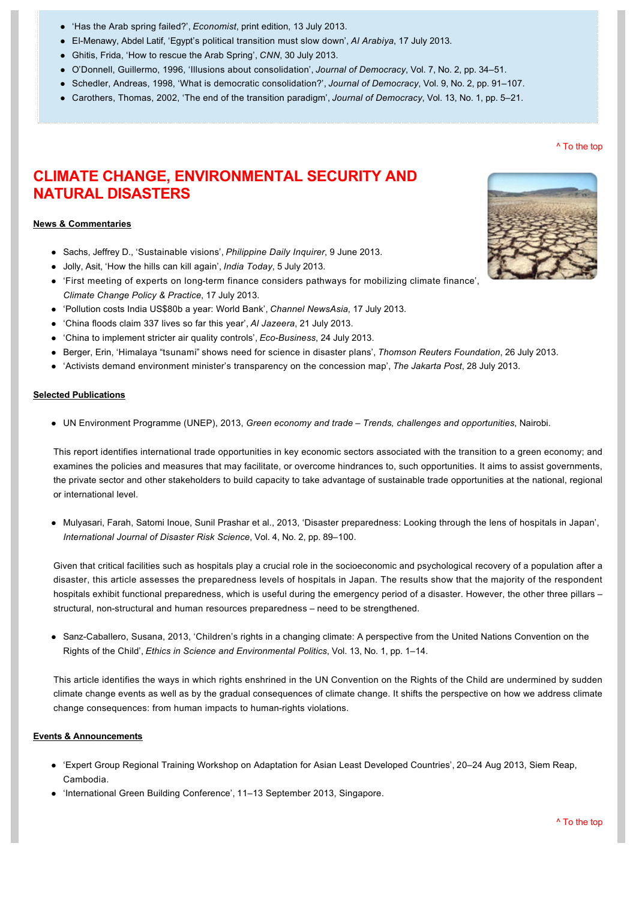- ['Has the Arab spring failed?',](http://www.economist.com/printedition/2013-07-13) *Economist*, print edition, 13 July 2013.
- l [ElMenawy, Abdel Latif, 'Egypt's political transition must slow down',](http://english.alarabiya.net/en/views/news/middle-east/2013/07/17/Egypt-s-political-transition-must-slow-down.html) *Al Arabiya*, 17 July 2013.
- l [Ghitis, Frida, 'How to rescue the Arab Spring',](http://edition.cnn.com/2013/07/30/opinion/ghitis-egypt-arab-spring/index.html) *CNN*, 30 July 2013.
- l [O'Donnell, Guillermo, 1996, 'Illusions about consolidation',](http://muse.jhu.edu/journals/journal_of_democracy/v007/7.2odonnell.html) *Journal of Democracy*, Vol. 7, No. 2, pp. 34–51.
- l [Schedler, Andreas, 1998, 'What is democratic consolidation?',](http://muse.jhu.edu/journals/journal_of_democracy/v009/9.2schedler.html) *Journal of Democracy*, Vol. 9, No. 2, pp. 91–107.
- l [Carothers, Thomas, 2002, 'The end of the transition paradigm',](http://www.journalofdemocracy.org/articles/gratis/Carothers-13-1.pdf) *Journal of Democracy*, Vol. 13, No. 1, pp. 5–21.

# **CLIMATE CHANGE, ENVIRONMENTAL SECURITY AND NATURAL DISASTERS**

#### **News & Commentaries**

- **.** [Sachs, Jeffrey D., 'Sustainable visions',](http://opinion.inquirer.net/54287/sustainable-visions) *Philippine Daily Inquirer*, 9 June 2013.
- l [Jolly, Asit, 'How the hills can kill again',](http://indiatoday.intoday.in/story/uttarakhand-tragedy-floods-alarm-for-himalayan-glaciers/1/287074.html) *India Today*, 5 July 2013.
- 'First meeting of experts on long-term finance considers pathways for mobilizing climate finance', *Climate Change Policy & Practice*, 17 July 2013.
- l ['Pollution costs India US\\$80b a year: World Bank',](http://www.channelnewsasia.com/news/asiapacific/pollution-costs-india-us/748040.html) *Channel NewsAsia*, 17 July 2013.
- l ['China floods claim 337 lives so far this year',](http://www.aljazeera.com/news/asia-pacific/2013/07/201372114184746105.html) *Al Jazeera*, 21 July 2013.
- ['China to implement stricter air quality controls',](http://www.eco-business.com/news/china-implement-stricter-air-quality-controls/) *Eco-Business*, 24 July 2013.
- l Berger, Erin, 'Himalaya "tsunami" [shows need for science in disaster plans',](http://www.trust.org/item/20130725143032-leioh) *Thomson Reuters Foundation*, 26 July 2013.
- l ['Activists demand environment minister's transparency on the concession map',](http://www.thejakartapost.com/news/2013/07/28/activists-demand-environment-minister-s-transparency-concession-map.html?utm_expid=16825920-1.v9BXzFTLTkWWYY7EX_y1DQ.0&utm_referrer=http%3A%2F%2F) *The Jakarta Post*, 28 July 2013.

#### **Selected Publications**

l [UN Environment Programme \(UNEP\), 2013,](http://www.unep.org/greeneconomy/Portals/88/GETReport/pdf/FullReport.pdf) *Green economy and trade – Trends, challenges and opportunities*, Nairobi.

This report identifies international trade opportunities in key economic sectors associated with the transition to a green economy; and examines the policies and measures that may facilitate, or overcome hindrances to, such opportunities. It aims to assist governments, the private sector and other stakeholders to build capacity to take advantage of sustainable trade opportunities at the national, regional or international level.

l [Mulyasari, Farah, Satomi Inoue, Sunil Prashar et al., 2013, 'Disaster preparedness: Looking through the lens of hospitals in Japan',](http://link.springer.com/article/10.1007/s13753-013-0010-1)  *International Journal of Disaster Risk Science*, Vol. 4, No. 2, pp. 89–100.

Given that critical facilities such as hospitals play a crucial role in the socioeconomic and psychological recovery of a population after a disaster, this article assesses the preparedness levels of hospitals in Japan. The results show that the majority of the respondent hospitals exhibit functional preparedness, which is useful during the emergency period of a disaster. However, the other three pillars – structural, non-structural and human resources preparedness – need to be strengthened.

• Sanz-Caballero, Susana, 2013, 'Children's rights in a changing climate: A perspective from the United Nations Convention on the Rights of the Child', *Ethics in Science and Environmental Politics*, Vol. 13, No. 1, pp. 1–14.

This article identifies the ways in which rights enshrined in the UN Convention on the Rights of the Child are undermined by sudden climate change events as well as by the gradual consequences of climate change. It shifts the perspective on how we address climate change consequences: from human impacts to human-rights violations.

#### **Events & Announcements**

- l ['Expert Group Regional Training Workshop on Adaptation for Asian Least Developed Countries', 20–24 Aug 2013, Siem Reap,](http://www.cbd.int/doc/?meeting=LEGAD-LDC-03)  Cambodia.
- l ['International Green Building Conference', 11–13 September 2013, Singapore.](http://www.sgbw.com.sg/)

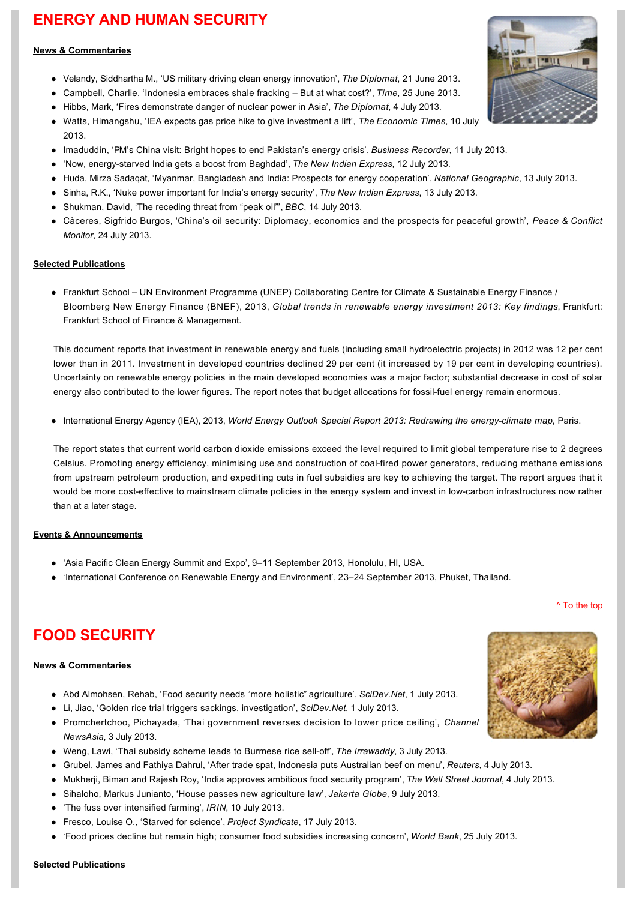# **ENERGY AND HUMAN SECURITY**

#### **News & Commentaries**

- l [Velandy, Siddhartha M., 'US military driving clean energy innovation',](http://thediplomat.com/flashpoints-blog/2013/06/21/us-military-driving-clean-energy-innovation/) *The Diplomat*, 21 June 2013.
- l [Campbell, Charlie, 'Indonesia embraces shale fracking –](http://world.time.com/2013/06/25/indonesia-embraces-shale-fracking-but-at-what-cost/) But at what cost?', *Time*, 25 June 2013.
- l [Hibbs, Mark, 'Fires demonstrate danger of nuclear power in Asia',](http://thediplomat.com/asean-beat/2013/07/04/fires-demonstrate-danger-of-nuclear-power-in-asia/) *The Diplomat*, 4 July 2013.
- l [Watts, Himangshu, 'IEA expects gas price hike to give investment a lift',](http://articles.economictimes.indiatimes.com/2013-07-10/news/40492358_1_natural-gas-oil-and-gas-sector-iea) *The Economic Times*, 10 July 2013.
- l [Imaduddin, 'PM's China visit: Bright hopes to end Pakistan's energy crisis',](http://newindianexpress.com/nation/Nuke-power-important-for-Indias-energy-security/2013/07/13/article1681309.ece) *Business Recorder*, 11 July 2013.
- l ['Now, energystarved India gets a boost from Baghdad',](http://newindianexpress.com/nation/Nuke-power-important-for-Indias-energy-security/2013/07/13/article1681309.ece) *The New Indian Express*, 12 July 2013.
- l [Huda, Mirza Sadaqat, 'Myanmar, Bangladesh and India: Prospects for energy cooperation',](http://newindianexpress.com/nation/Nuke-power-important-for-Indias-energy-security/2013/07/13/article1681309.ece) *National Geographic*, 13 July 2013.
- l [Sinha, R.K., 'Nuke power important for India's energy security',](http://newindianexpress.com/nation/Nuke-power-important-for-Indias-energy-security/2013/07/13/article1681309.ece) *The New Indian Express*, 13 July 2013.
- [Shukman, David, 'The receding threat from "peak oil"',](http://www.bbc.co.uk/news/science-environment-23280894) *BBC*, 14 July 2013.
- l [Càceres, Sigfrido Burgos, 'China's oil security: Diplomacy, economics and the prospects for peaceful growth',](http://www.monitor.upeace.org/innerpg.cfm?id_article=1005) *Peace & Conflict Monitor*, 24 July 2013.

### **Selected Publications**

l Frankfurt School – [UN Environment Programme \(UNEP\) Collaborating Centre for Climate & Sustainable Energy Finance /](http://fs-unep-centre.org/publications/global-trends-renewable-energy-investment-2013)  Bloomberg New Energy Finance (BNEF), 2013, *Global trends in renewable energy investment 2013: Key findings*, Frankfurt: Frankfurt School of Finance & Management.

This document reports that investment in renewable energy and fuels (including small hydroelectric projects) in 2012 was 12 per cent lower than in 2011. Investment in developed countries declined 29 per cent (it increased by 19 per cent in developing countries). Uncertainty on renewable energy policies in the main developed economies was a major factor; substantial decrease in cost of solar energy also contributed to the lower figures. The report notes that budget allocations for fossil-fuel energy remain enormous.

• International Energy Agency (IEA), 2013, *World Energy Outlook Special Report 2013: Redrawing the energy-climate map*, Paris.

The report states that current world carbon dioxide emissions exceed the level required to limit global temperature rise to 2 degrees Celsius. Promoting energy efficiency, minimising use and construction of coal-fired power generators, reducing methane emissions from upstream petroleum production, and expediting cuts in fuel subsidies are key to achieving the target. The report argues that it would be more cost-effective to mainstream climate policies in the energy system and invest in low-carbon infrastructures now rather than at a later stage.

### **Events & Announcements**

- 'Asia Pacific Clean Energy Summit and Expo', 9-11 September 2013, Honolulu, HI, USA.
- l ['International Conference on Renewable Energy and Environment', 23–24 September 2013, Phuket, Thailand.](http://www.icree.net/)

# **FOOD SECURITY**

#### **News & Commentaries**

- l [Abd Almohsen, Rehab, 'Food security needs "more holistic"](http://www.scidev.net/global/farming/news/food-security-needs-more-holistic-agriculture.html) agriculture', *SciDev.Net*, 1 July 2013.
- l [Li, Jiao, 'Golden rice trial triggers sackings, investigation',](http://www.scidev.net/global/biotechnology/news/golden-rice-trial-triggers-sackings-investigation.html) *SciDev.Net*, 1 July 2013.
- l [Promchertchoo, Pichayada, 'Thai government reverses decision to lower price ceiling',](http://www.channelnewsasia.com/news/asiapacific/thai-government-reverses/733058.html) *Channel NewsAsia*, 3 July 2013.
- l [Weng, Lawi, 'Thai subsidy scheme leads to Burmese rice selloff',](http://www.irrawaddy.org/archives/39235) *The Irrawaddy*, 3 July 2013.
- l [Grubel, James and Fathiya Dahrul, 'After trade spat, Indonesia puts Australian beef on menu',](http://www.reuters.com/article/2013/07/03/australia-beef-indonesia-idUSL3N0EB0I520130703) *Reuters*, 4 July 2013.
- l [Mukherji, Biman and Rajesh Roy, 'India approves ambitious food security program',](http://online.wsj.com/article/SB10001424127887324399404578583381205614350.html?mod=WSJAsia_hpp_LEFTTopStories) *The Wall Street Journal*, 4 July 2013.
- l [Sihaloho, Markus Junianto, 'House passes new agriculture law',](http://www.thejakartaglobe.com/news/house-passes-new-agriculture-law/) *Jakarta Globe*, 9 July 2013.
- l ['The fuss over intensified farming',](http://www.irinnews.org/report/98391/the-fuss-over-intensified-farming) *IRIN*, 10 July 2013.
- **.** [Fresco, Louise O., 'Starved for science',](http://www.project-syndicate.org/commentary/how-technological-progress-can-help-to-feed-the-world-by-louise-o--fresco) *Project Syndicate*, 17 July 2013.
- l ['Food prices decline but remain high; consumer food subsidies increasing concern',](http://www.worldbank.org/en/news/press-release/2013/07/25/food-prices-decline-remain-high-consumer-food-subsidies-increasing-concern?cid=EXT_LinkedinWorldBank_P_EXT) *World Bank*, 25 July 2013.



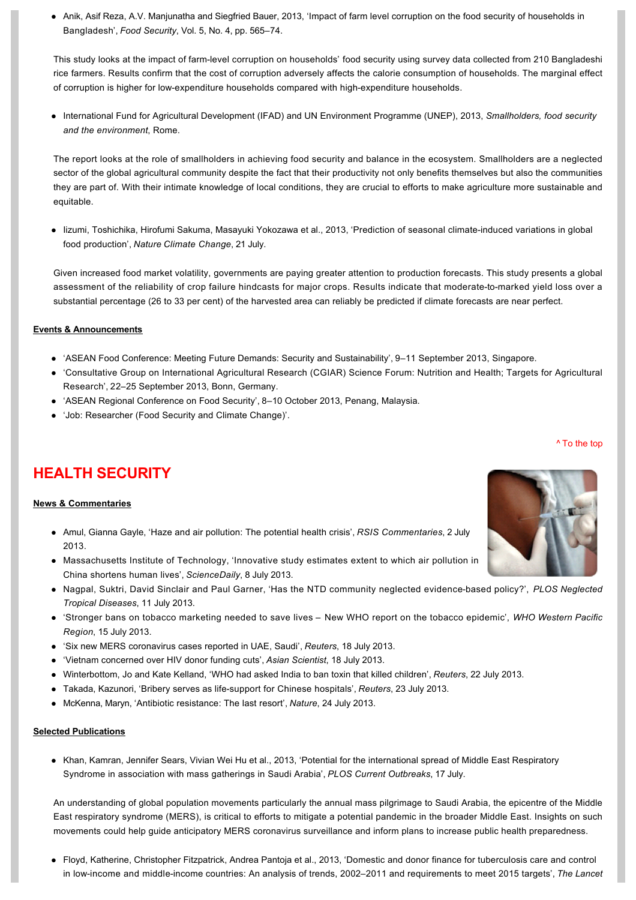l [Anik, Asif Reza, A.V. Manjunatha and Siegfried Bauer, 2013, 'Impact of farm level corruption on the food security of households in](http://link.springer.com/article/10.1007%2Fs12571-013-0282-8)  Bangladesh', *Food Security*, Vol. 5, No. 4, pp. 565–74.

This study looks at the impact of farm-level corruption on households' food security using survey data collected from 210 Bangladeshi rice farmers. Results confirm that the cost of corruption adversely affects the calorie consumption of households. The marginal effect of corruption is higher for low-expenditure households compared with high-expenditure households.

l [International Fund for Agricultural Development \(IFAD\) and UN Environment Programme \(UNEP\), 2013,](http://www.unep.org/pdf/SmallholderReport_WEB.pdf) *Smallholders, food security and the environment*, Rome.

The report looks at the role of smallholders in achieving food security and balance in the ecosystem. Smallholders are a neglected sector of the global agricultural community despite the fact that their productivity not only benefits themselves but also the communities they are part of. With their intimate knowledge of local conditions, they are crucial to efforts to make agriculture more sustainable and equitable.

• lizumi, Toshichika, Hirofumi Sakuma, Masayuki Yokozawa et al., 2013, 'Prediction of seasonal climate-induced variations in global food production', *Nature Climate Change*, 21 July.

Given increased food market volatility, governments are paying greater attention to production forecasts. This study presents a global assessment of the reliability of crop failure hindcasts for major crops. Results indicate that moderate-to-marked yield loss over a substantial percentage (26 to 33 per cent) of the harvested area can reliably be predicted if climate forecasts are near perfect.

### **Events & Announcements**

- l ['ASEAN Food Conference: Meeting Future Demands: Security and Sustainability', 9–11 September 2013, Singapore.](http://www.cvent.com/events/asean-food-conference/event-summary-c8a457d5a2614beaa8dd48024b8c3b5c.aspx)
- l ['Consultative Group on International Agricultural Research \(CGIAR\) Science Forum: Nutrition and Health; Targets for Agricultural](http://www.cgiar.org/calendar-events/science-forum-2013/)  Research', 22–25 September 2013, Bonn, Germany.
- 'ASEAN Regional Conference on Food Security', 8-10 October 2013, Penang, Malaysia.
- l ['Job: Researcher \(Food Security and Climate Change\)'.](http://www.rsis.edu.sg/nts/article.asp?id=54)

# **HEALTH SECURITY**

#### **News & Commentaries**

- l [Amul, Gianna Gayle, 'Haze and air pollution: The potential health crisis',](http://www.rsis.edu.sg/publications/Perspective/RSIS1222013.pdf) *RSIS Commentaries*, 2 July 2013.
- Massachusetts Institute of Technology, 'Innovative study estimates extent to which air pollution in China shortens human lives', *ScienceDaily*, 8 July 2013.
- l [Nagpal, Suktri, David Sinclair and Paul Garner, 'Has the NTD community neglected evidencebased policy?',](http://www.plosntds.org/article/info%3Adoi%2F10.1371%2Fjournal.pntd.0002238;jsessionid=8F05AD42850F668C0C5109DAA3951642) *PLOS Neglected Tropical Diseases*, 11 July 2013.
- l ['Stronger bans on tobacco marketing needed to save lives –](http://www.wpro.who.int/china/mediacentre/releases/2013/20130715/en/index.html) New WHO report on the tobacco epidemic', *WHO Western Pacific Region*, 15 July 2013.
- l ['Six new MERS coronavirus cases reported in UAE, Saudi',](http://www.reuters.com/article/2013/07/18/us-coronavirus-idUSBRE96H18Q20130718) *Reuters*, 18 July 2013.
- l ['Vietnam concerned over HIV donor funding cuts',](http://www.asianscientist.com/health-medicine/vietnam-concerned-hiv-donor-funding-cuts-2013/) *Asian Scientist*, 18 July 2013.
- l [Winterbottom, Jo and Kate Kelland, 'WHO had asked India to ban toxin that killed children',](http://in.reuters.com/article/2013/07/22/bihar-midday-meal-poisoning-idINDEE96L0B120130722) *Reuters*, 22 July 2013.
- l [Takada, Kazunori, 'Bribery serves as lifesupport for Chinese hospitals',](http://www.reuters.com/article/2013/07/23/us-china-hospitals-bribery-idUSBRE96M12Y20130723) *Reuters*, 23 July 2013.
- l [McKenna, Maryn, 'Antibiotic resistance: The last resort',](http://www.nature.com/news/antibiotic-resistance-the-last-resort-1.13426) *Nature*, 24 July 2013.

#### **Selected Publications**

• Khan, Kamran, Jennifer Sears, Vivian Wei Hu et al., 2013, 'Potential for the international spread of Middle East Respiratory Syndrome in association with mass gatherings in Saudi Arabia', *PLOS Current Outbreaks*, 17 July.

An understanding of global population movements particularly the annual mass pilgrimage to Saudi Arabia, the epicentre of the Middle East respiratory syndrome (MERS), is critical to efforts to mitigate a potential pandemic in the broader Middle East. Insights on such movements could help guide anticipatory MERS coronavirus surveillance and inform plans to increase public health preparedness.

l [Floyd, Katherine, Christopher Fitzpatrick, Andrea Pantoja et al., 2013, 'Domestic and donor finance for tuberculosis care and control](http://www.thelancet.com/journals/langlo/article/PIIS2214-109X(13)70032-9/abstract)  in low-income and middle-income countries: An analysis of trends, 2002–2011 and requirements to meet 2015 targets', The Lancet

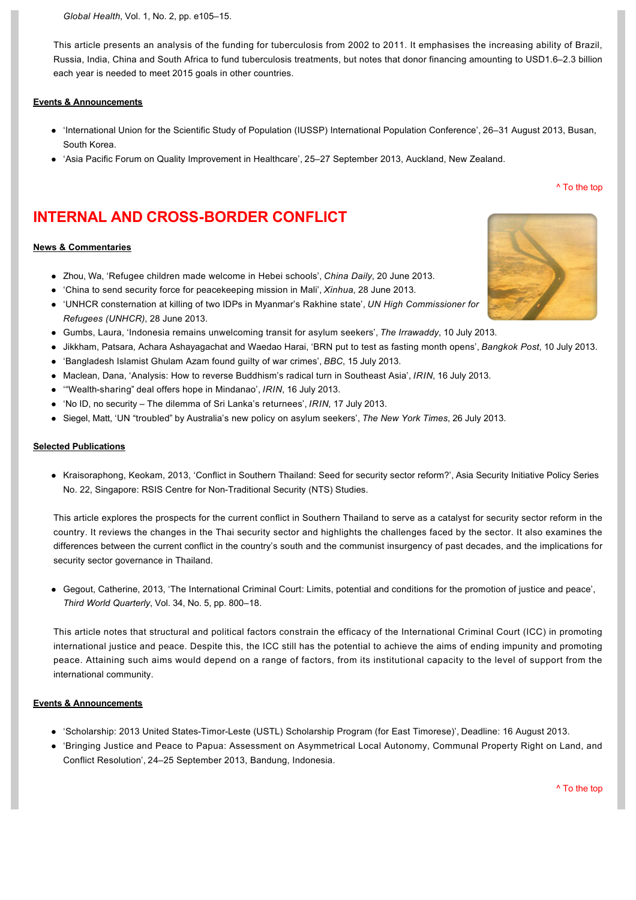*Global Health*[, Vol. 1, No. 2, pp. e105–15.](http://www.thelancet.com/journals/langlo/article/PIIS2214-109X(13)70032-9/abstract)

This article presents an analysis of the funding for tuberculosis from 2002 to 2011. It emphasises the increasing ability of Brazil, Russia, India, China and South Africa to fund tuberculosis treatments, but notes that donor financing amounting to USD1.6–2.3 billion each year is needed to meet 2015 goals in other countries.

#### **Events & Announcements**

- l ['International Union for the Scientific Study of Population \(IUSSP\) International Population Conference', 26–31 August 2013, Busan,](http://busan2013.iussp.org/)  South Korea.
- ['Asia Pacific Forum on Quality Improvement in Healthcare', 25–27 September 2013, Auckland, New Zealand.](http://apac-forum.com/)

# **INTERNAL AND CROSS-BORDER CONFLICT**

#### **News & Commentaries**

- l [Zhou, Wa, 'Refugee children made welcome in Hebei schools',](http://www.chinadaily.com.cn/cndy/2013-06/20/content_16638996.htm) *China Daily*, 20 June 2013.
- l ['China to send security force for peacekeeping mission in Mali',](http://english.peopledaily.com.cn/90786/8303006.html) *Xinhua*, 28 June 2013.
- l ['UNHCR consternation at killing of two IDPs in Myanmar's Rakhine state',](http://www.unhcr.org/51cd590d3.html) *UN High Commissioner for Refugees (UNHCR)*, 28 June 2013.
- l [Gumbs, Laura, 'Indonesia remains unwelcoming transit for asylum seekers',](http://www.irrawaddy.org/archives/39657) *The Irrawaddy*, 10 July 2013.
- l [Jikkham, Patsara, Achara Ashayagachat and Waedao Harai, 'BRN put to test as fasting month opens',](http://www.bangkokpost.com/news/security/359120/brn-put-on-ramadan-notice) *Bangkok Post*, 10 July 2013.
- l ['Bangladesh Islamist Ghulam Azam found guilty of war crimes',](http://www.bbc.co.uk/news/world-asia-23310518) *BBC*, 15 July 2013.
- l [Maclean, Dana, 'Analysis: How to reverse Buddhism's radical turn in Southeast Asia',](http://www.irinnews.org/report/98423/analysis-how-to-reverse-buddhism-s-radical-turn-in-southeast-asia) *IRIN*, 16 July 2013.
- **.** "Wealth-sharing" [deal offers hope in Mindanao',](http://www.irinnews.org/report/98424/wealth-sharing-deal-offers-hope-in-mindanao) *IRIN*, 16 July 2013.
- l 'No ID, no security [The dilemma of Sri Lanka's returnees',](http://www.irinnews.org/report/98420/no-id-no-security-the-dilemma-of-sri-lanka-s-returnees) *IRIN*, 17 July 2013.
- l Siegel, Matt, 'UN "troubled" [by Australia's new policy on asylum seekers',](http://www.nytimes.com/2013/07/26/world/asia/un-troubled-by-australias-new-policy-on-asylum-seekers.html?_r=0) *The New York Times*, 26 July 2013.

#### **Selected Publications**

• Kraisoraphong, Keokam, 2013, 'Conflict in Southern Thailand: Seed for security sector reform?', Asia Security Initiative Policy Series No. 22, Singapore: RSIS Centre for Non-Traditional Security (NTS) Studies.

This article explores the prospects for the current conflict in Southern Thailand to serve as a catalyst for security sector reform in the country. It reviews the changes in the Thai security sector and highlights the challenges faced by the sector. It also examines the differences between the current conflict in the country's south and the communist insurgency of past decades, and the implications for security sector governance in Thailand.

l [Gegout, Catherine, 2013, 'The International Criminal Court: Limits, potential and conditions for the promotion of justice and peace',](http://www.tandfonline.com/doi/abs/10.1080/01436597.2013.800737#.UfIrsayb9ek)  *Third World Quarterly*, Vol. 34, No. 5, pp. 800–18.

This article notes that structural and political factors constrain the efficacy of the International Criminal Court (ICC) in promoting international justice and peace. Despite this, the ICC still has the potential to achieve the aims of ending impunity and promoting peace. Attaining such aims would depend on a range of factors, from its institutional capacity to the level of support from the international community.

#### **Events & Announcements**

- l ['Scholarship: 2013 United StatesTimorLeste \(USTL\) Scholarship Program \(for East Timorese\)', Deadline: 16 August 2013.](http://www.internationalpeaceandconflict.org/forum/topics/scholarship-2013-united-states-timor-leste-ustl-scholarship-progr#.UfI6_Kyb9ek)
- l ['Bringing Justice and Peace to Papua: Assessment on Asymmetrical Local Autonomy, Communal Property Right on Land, and](http://icord.co.id/?p=55)  Conflict Resolution', 24–25 September 2013, Bandung, Indonesia.

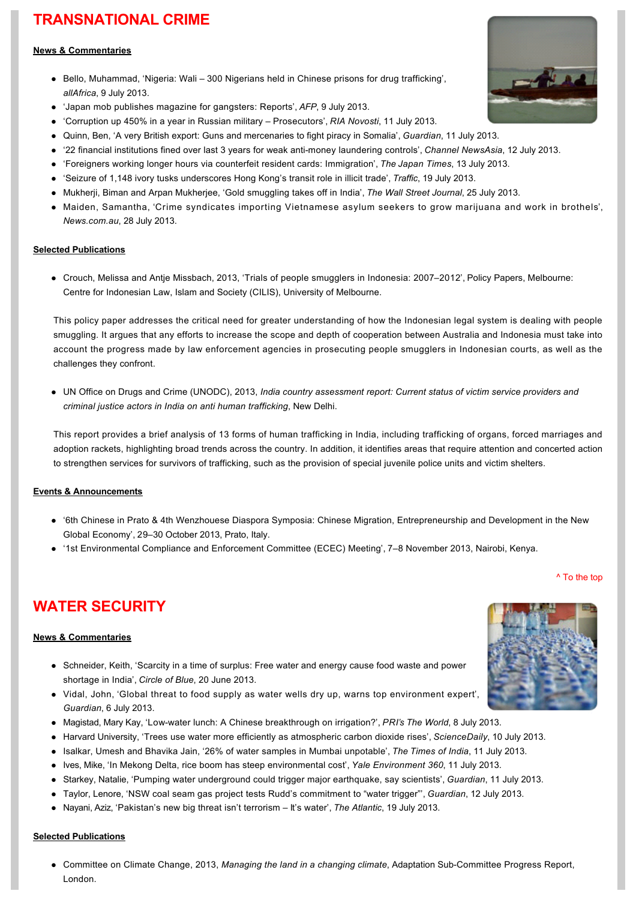# **TRANSNATIONAL CRIME**

### **News & Commentaries**

- Bello, Muhammad, 'Nigeria: Wali 300 Nigerians held in Chinese prisons for drug trafficking', *allAfrica*, 9 July 2013.
- l ['Japan mob publishes magazine for gangsters: Reports',](http://www.google.com/hostednews/afp/article/ALeqM5iYRt7Q3wS2s6654AF0W3Nz9Oi6Tw?docId=CNG.ca0988b6b06efd48851cdcf82867038b.1c1) *AFP*, 9 July 2013.
- l ['Corruption up 450% in a year in Russian military –](http://en.ria.ru/crime/20130711/182183954/Corruption-up-450-in-a-Year-in-Russian-Forces--Prosecutors.html) Prosecutors', *RIA Novosti*, 11 July 2013.
- l [Quinn, Ben, 'A very British export: Guns and mercenaries to fight piracy in Somalia',](http://www.guardian.co.uk/business/2013/jul/11/anti-piracy-arms-trade-somali-pirates) *Guardian*, 11 July 2013.
- '22 financial institutions fined over last 3 years for weak anti-money laundering controls', *Channel NewsAsia*, 12 July 2013.
- l ['Foreigners working longer hours via counterfeit resident cards: Immigration',](http://www.japantimes.co.jp/news/2013/07/13/national/foreigners-working-longer-hours-via-counterfeit-resident-cards-immigration/#.UeMDz1NY62w) *The Japan Times*, 13 July 2013.
- l ['Seizure of 1,148 ivory tusks underscores Hong Kong's transit role in illicit trade',](http://www.traffic.org/home/2013/7/19/seizure-of-1148-ivory-tusks-underscores-hong-kongs-transit-r.html) *Traffic*, 19 July 2013.
- l [Mukherji, Biman and Arpan Mukherjee, 'Gold smuggling takes off in India',](http://online.wsj.com/article/SB10001424127887323971204578626420651144876.html) *The Wall Street Journal*, 25 July 2013.
- Maiden, Samantha, 'Crime syndicates importing Vietnamese asylum seekers to grow marijuana and work in brothels', *News.com.au*, 28 July 2013.

### **Selected Publications**

• Crouch, Melissa and Antie Missbach, 2013, 'Trials of people smugglers in Indonesia: 2007–2012', Policy Papers, Melbourne: Centre for Indonesian Law, Islam and Society (CILIS), University of Melbourne.

This policy paper addresses the critical need for greater understanding of how the Indonesian legal system is dealing with people smuggling. It argues that any efforts to increase the scope and depth of cooperation between Australia and Indonesia must take into account the progress made by law enforcement agencies in prosecuting people smugglers in Indonesian courts, as well as the challenges they confront.

• UN Office on Drugs and Crime (UNODC), 2013, *India country assessment report: Current status of victim service providers and criminal justice actors in India on anti human trafficking*, New Delhi.

This report provides a brief analysis of 13 forms of human trafficking in India, including trafficking of organs, forced marriages and adoption rackets, highlighting broad trends across the country. In addition, it identifies areas that require attention and concerted action to strengthen services for survivors of trafficking, such as the provision of special juvenile police units and victim shelters.

### **Events & Announcements**

- l ['6th Chinese in Prato & 4th Wenzhouese Diaspora Symposia: Chinese Migration, Entrepreneurship and Development in the New](http://www.monash.it/en/6th-chinese-prato-4th-wenzhouese-diaspora-symposia)  Global Economy', 29–30 October 2013, Prato, Italy.
- l ['1st Environmental Compliance and Enforcement Committee \(ECEC\) Meeting', 7–8 November 2013, Nairobi, Kenya.](http://www.interpol.int/en/Crime-areas/Environmental-crime/Conferences-and-meetings/Meetings/INTERPOL-Environmental-Compliance-and-Enforcement-Events-2013)

# [^ To the top](#page-0-0)

# **WATER SECURITY**

### **News & Commentaries**

- Schneider, Keith, 'Scarcity in a time of surplus: Free water and energy cause food waste and power shortage in India', *Circle of Blue*, 20 June 2013.
- Vidal, John, 'Global threat to food supply as water wells dry up, warns top environment expert', *Guardian*, 6 July 2013.
- l [Magistad, Mary Kay, 'Lowwater lunch: A Chinese breakthrough on irrigation?',](http://www.theworld.org/2013/07/low-water-lunch-china/) *PRI's The World*, 8 July 2013.
- l [Harvard University, 'Trees use water more efficiently as atmospheric carbon dioxide rises',](http://www.sciencedaily.com/releases/2013/07/130710141845.htm) *ScienceDaily*, 10 July 2013.
- l [Isalkar, Umesh and Bhavika Jain, '26% of water samples in Mumbai unpotable',](http://articles.timesofindia.indiatimes.com/2013-07-11/mumbai/40513582_1_water-samples-water-pipelines-turbid-water) *The Times of India*, 11 July 2013.
- l [Ives, Mike, 'In Mekong Delta, rice boom has steep environmental cost',](http://e360.yale.edu/feature/in_mekong_delta_rice_boom_has_steep_environmental_cost/2670/) *Yale Environment 360*, 11 July 2013.
- l [Starkey, Natalie, 'Pumping water underground could trigger major earthquake, say scientists',](http://www.guardian.co.uk/science/2013/jul/11/fracking-water-injection-major-earthquakes) *Guardian*, 11 July 2013.
- l [Taylor, Lenore, 'NSW coal seam gas project tests Rudd's commitment to "water trigger"',](http://www.guardian.co.uk/world/2013/jul/12/coal-seam-gas-project-environment?CMP=twt_fd) *Guardian*, 12 July 2013.
- l [Nayani, Aziz, 'Pakistan's new big threat isn't terrorism –](http://www.theatlantic.com/international/archive/2013/07/pakistans-new-big-threat-isnt-terrorism-its-water/277970/) It's water', *The Atlantic*, 19 July 2013.

#### **Selected Publications**

• Committee on Climate Change, 2013, *Managing the land in a changing climate*, Adaptation Sub-Committee Progress Report, London.